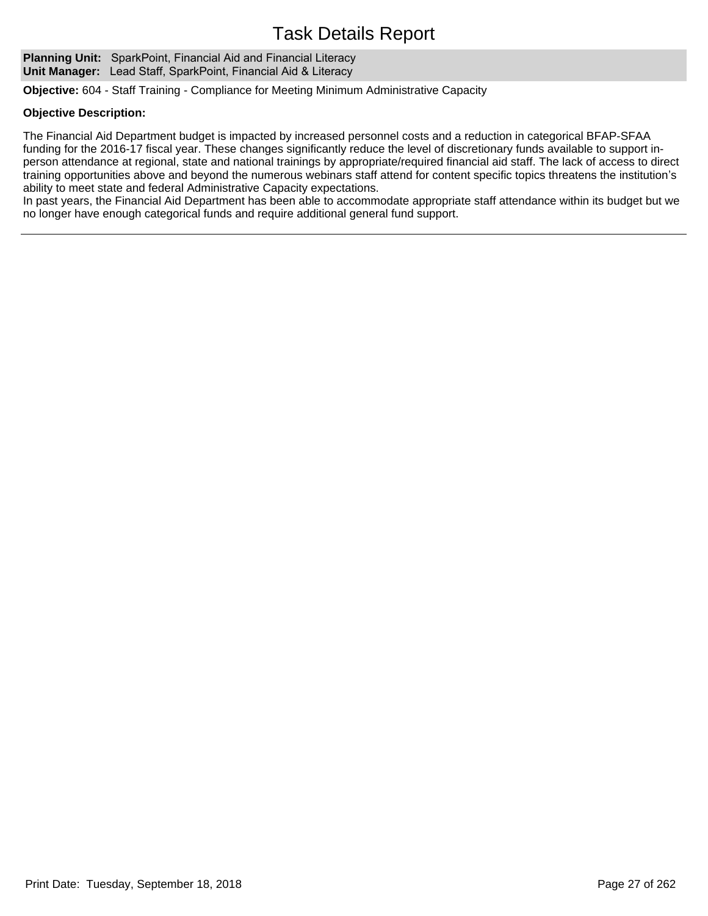Planning Unit: SparkPoint, Financial Aid and Financial Literacy **Unit Manager:** Lead Staff, SparkPoint, Financial Aid & Literacy

**Objective:** 604 - Staff Training - Compliance for Meeting Minimum Administrative Capacity

### **Objective Description:**

The Financial Aid Department budget is impacted by increased personnel costs and a reduction in categorical BFAP-SFAA funding for the 2016-17 fiscal year. These changes significantly reduce the level of discretionary funds available to support inperson attendance at regional, state and national trainings by appropriate/required financial aid staff. The lack of access to direct training opportunities above and beyond the numerous webinars staff attend for content specific topics threatens the institution's ability to meet state and federal Administrative Capacity expectations.

In past years, the Financial Aid Department has been able to accommodate appropriate staff attendance within its budget but we no longer have enough categorical funds and require additional general fund support.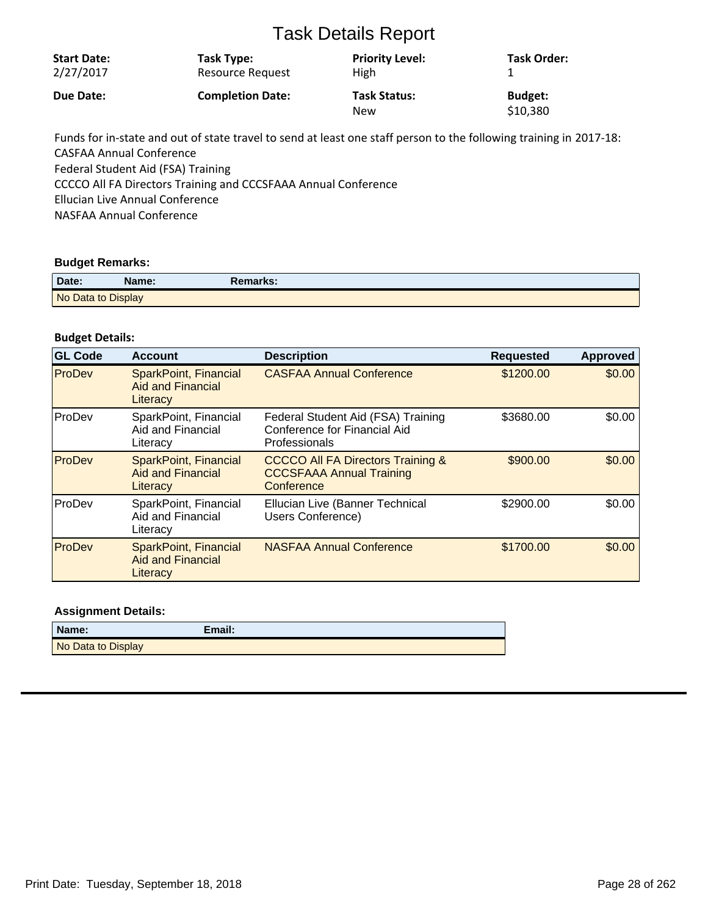| <b>Start Date:</b> | Task Type:              | <b>Priority Level:</b>            | Task Order:                |
|--------------------|-------------------------|-----------------------------------|----------------------------|
| 2/27/2017          | Resource Request        | High                              |                            |
| Due Date:          | <b>Completion Date:</b> | <b>Task Status:</b><br><b>New</b> | <b>Budget:</b><br>\$10,380 |

Funds for in-state and out of state travel to send at least one staff person to the following training in 2017-18: CASFAA Annual Conference Federal Student Aid (FSA) Training CCCCO All FA Directors Training and CCCSFAAA Annual Conference Ellucian Live Annual Conference NASFAA Annual Conference

## **Budget Remarks:**

| Date:              | Name: | <b>Remarks:</b> |
|--------------------|-------|-----------------|
| No Data to Display |       |                 |

## **Budget Details:**

| <b>GL Code</b> | <b>Account</b>                                                       | <b>Description</b>                                                                            | <b>Requested</b> | <b>Approved</b> |
|----------------|----------------------------------------------------------------------|-----------------------------------------------------------------------------------------------|------------------|-----------------|
| ProDev         | <b>SparkPoint, Financial</b><br><b>Aid and Financial</b><br>Literacy | <b>CASFAA Annual Conference</b>                                                               | \$1200.00        | \$0.00          |
| ProDev         | SparkPoint, Financial<br>Aid and Financial<br>Literacy               | Federal Student Aid (FSA) Training<br><b>Conference for Financial Aid</b><br>Professionals    | \$3680.00        | \$0.00          |
| ProDev         | <b>SparkPoint, Financial</b><br><b>Aid and Financial</b><br>Literacy | <b>CCCCO All FA Directors Training &amp;</b><br><b>CCCSFAAA Annual Training</b><br>Conference | \$900.00         | \$0.00          |
| ProDev         | SparkPoint, Financial<br>Aid and Financial<br>Literacy               | Ellucian Live (Banner Technical<br>Users Conference)                                          | \$2900.00        | \$0.00          |
| ProDev         | <b>SparkPoint, Financial</b><br><b>Aid and Financial</b><br>Literacy | <b>NASFAA Annual Conference</b>                                                               | \$1700.00        | \$0.00          |

| Name:              | Email: |
|--------------------|--------|
| No Data to Display |        |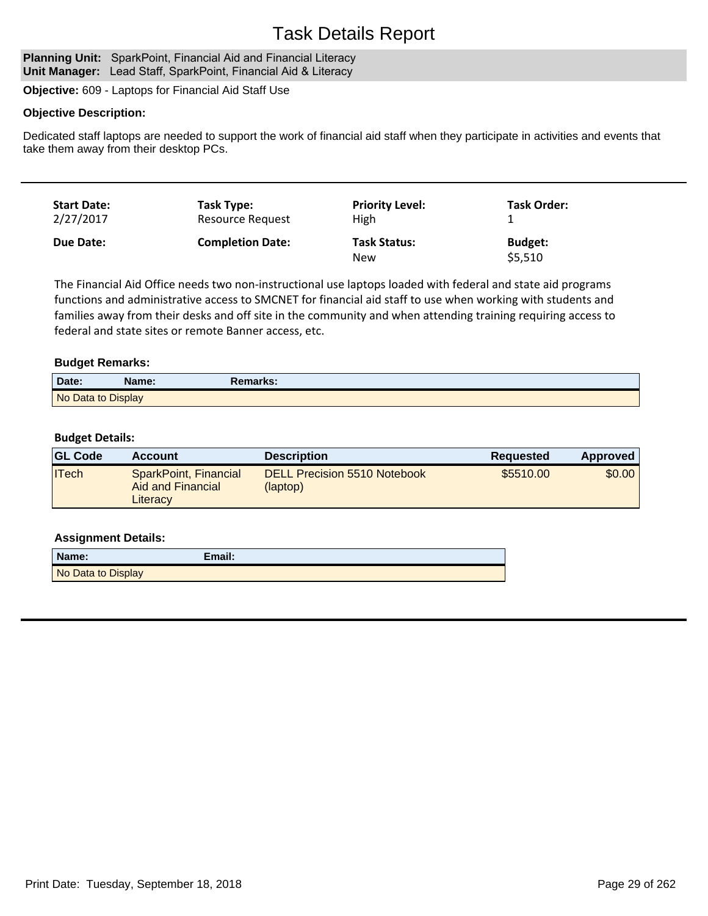#### Planning Unit: SparkPoint, Financial Aid and Financial Literacy **Unit Manager:** Lead Staff, SparkPoint, Financial Aid & Literacy

**Objective:** 609 - Laptops for Financial Aid Staff Use

## **Objective Description:**

Dedicated staff laptops are needed to support the work of financial aid staff when they participate in activities and events that take them away from their desktop PCs.

| <b>Start Date:</b> | Task Type:              | <b>Priority Level:</b>            | <b>Task Order:</b>        |
|--------------------|-------------------------|-----------------------------------|---------------------------|
| 2/27/2017          | Resource Request        | High                              |                           |
| <b>Due Date:</b>   | <b>Completion Date:</b> | <b>Task Status:</b><br><b>New</b> | <b>Budget:</b><br>\$5,510 |

The Financial Aid Office needs two non-instructional use laptops loaded with federal and state aid programs functions and administrative access to SMCNET for financial aid staff to use when working with students and families away from their desks and off site in the community and when attending training requiring access to federal and state sites or remote Banner access, etc.

## **Budget Remarks:**

| Date:              | Name: | Remarks: |
|--------------------|-------|----------|
| No Data to Display |       |          |

## **Budget Details:**

| <b>GL Code</b> | <b>Account</b>                                         | <b>Description</b>                              | Requested | <b>Approved</b> |
|----------------|--------------------------------------------------------|-------------------------------------------------|-----------|-----------------|
| <b>ITech</b>   | SparkPoint, Financial<br>Aid and Financial<br>Literacy | <b>DELL Precision 5510 Notebook</b><br>(laptop) | \$5510.00 | \$0.00          |

| Name:              | Email: |
|--------------------|--------|
| No Data to Display |        |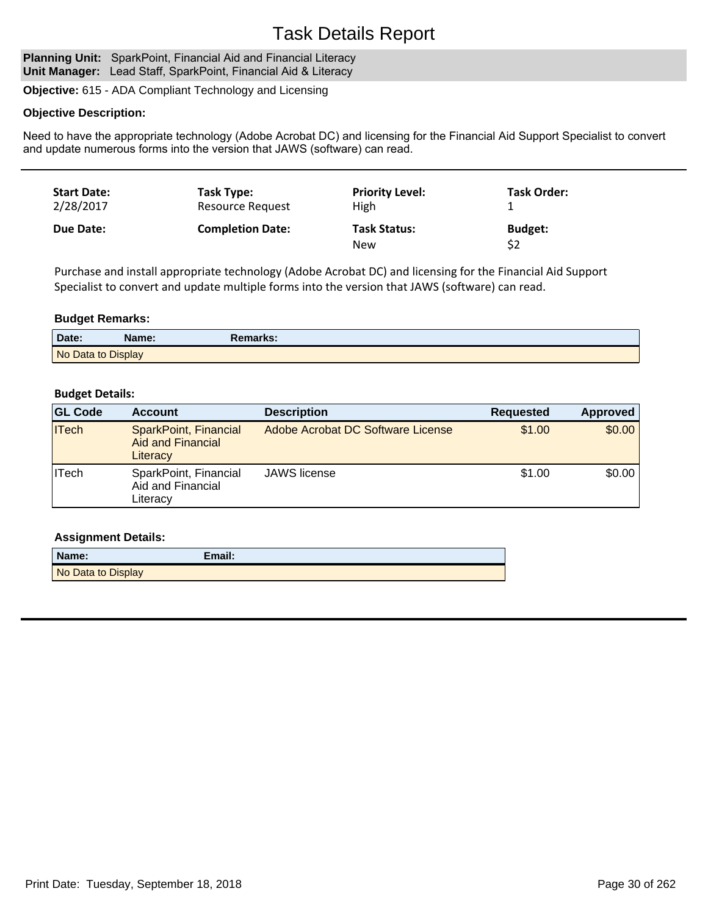#### Planning Unit: SparkPoint, Financial Aid and Financial Literacy **Unit Manager:** Lead Staff, SparkPoint, Financial Aid & Literacy

**Objective:** 615 - ADA Compliant Technology and Licensing

## **Objective Description:**

Need to have the appropriate technology (Adobe Acrobat DC) and licensing for the Financial Aid Support Specialist to convert and update numerous forms into the version that JAWS (software) can read.

| <b>Start Date:</b> | Task Type:              | <b>Priority Level:</b>            | Task Order:    |
|--------------------|-------------------------|-----------------------------------|----------------|
| 2/28/2017          | Resource Request        | High                              |                |
| Due Date:          | <b>Completion Date:</b> | <b>Task Status:</b><br><b>New</b> | <b>Budget:</b> |

Purchase and install appropriate technology (Adobe Acrobat DC) and licensing for the Financial Aid Support Specialist to convert and update multiple forms into the version that JAWS (software) can read.

## **Budget Remarks:**

| Date:              | Name: | Remarks: |
|--------------------|-------|----------|
| No Data to Display |       |          |

## **Budget Details:**

| <b>GL Code</b> | <b>Account</b>                                                | <b>Description</b>                | <b>Requested</b> | Approved |
|----------------|---------------------------------------------------------------|-----------------------------------|------------------|----------|
| <b>ITech</b>   | SparkPoint, Financial<br><b>Aid and Financial</b><br>Literacy | Adobe Acrobat DC Software License | \$1.00           | \$0.00   |
| ∣ITech         | SparkPoint, Financial<br>Aid and Financial<br>Literacy        | JAWS license                      | \$1.00           | \$0.00   |

| Name:              | Email: |
|--------------------|--------|
| No Data to Display |        |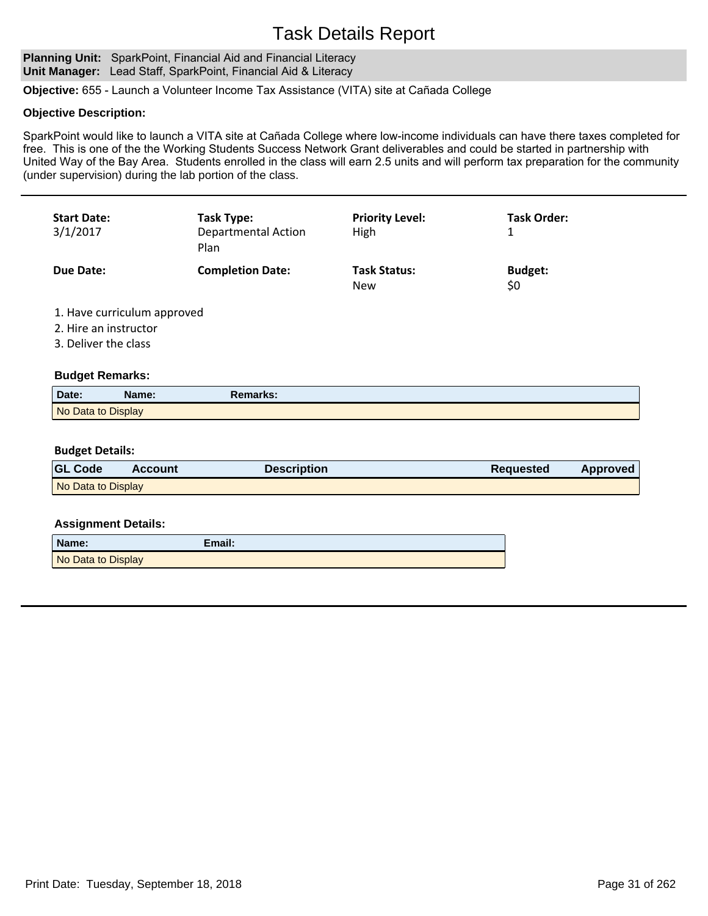### Planning Unit: SparkPoint, Financial Aid and Financial Literacy **Unit Manager:** Lead Staff, SparkPoint, Financial Aid & Literacy

**Objective:** 655 - Launch a Volunteer Income Tax Assistance (VITA) site at Cañada College

### **Objective Description:**

SparkPoint would like to launch a VITA site at Cañada College where low-income individuals can have there taxes completed for free. This is one of the the Working Students Success Network Grant deliverables and could be started in partnership with United Way of the Bay Area. Students enrolled in the class will earn 2.5 units and will perform tax preparation for the community (under supervision) during the lab portion of the class.

| <b>Start Date:</b><br>3/1/2017 | Task Type:<br><b>Departmental Action</b><br>Plan | <b>Priority Level:</b><br><b>High</b> | Task Order:           |
|--------------------------------|--------------------------------------------------|---------------------------------------|-----------------------|
| Due Date:                      | <b>Completion Date:</b>                          | <b>Task Status:</b><br><b>New</b>     | <b>Budget:</b><br>\$0 |

1. Have curriculum approved

- 2. Hire an instructor
- 3. Deliver the class

### **Budget Remarks:**

| Date:              | Name: | Remarks: |  |
|--------------------|-------|----------|--|
| No Data to Display |       |          |  |

## **Budget Details:**

| <b>GL Code</b>     | Account | <b>Description</b> | <b>Requested</b> | <b>Approved</b> |
|--------------------|---------|--------------------|------------------|-----------------|
| No Data to Display |         |                    |                  |                 |

| Name:              | Email: |
|--------------------|--------|
| No Data to Display |        |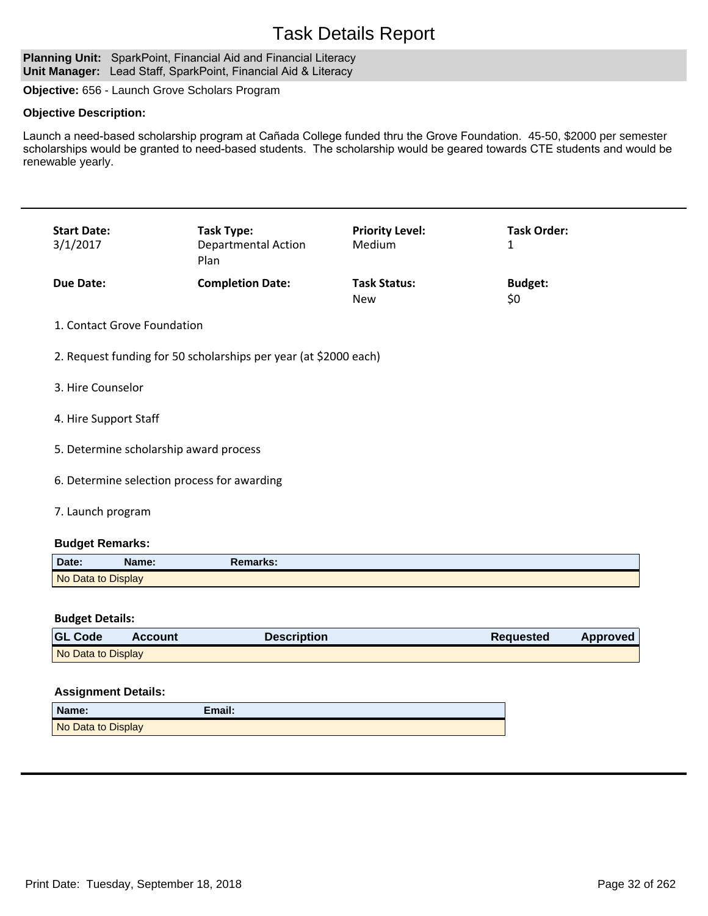#### Planning Unit: SparkPoint, Financial Aid and Financial Literacy **Unit Manager:** Lead Staff, SparkPoint, Financial Aid & Literacy

**Objective:** 656 - Launch Grove Scholars Program

## **Objective Description:**

Launch a need-based scholarship program at Cañada College funded thru the Grove Foundation. 45-50, \$2000 per semester scholarships would be granted to need-based students. The scholarship would be geared towards CTE students and would be renewable yearly.

| <b>Start Date:</b><br>3/1/2017 | Task Type:<br><b>Departmental Action</b><br>Plan | <b>Priority Level:</b><br>Medium  | <b>Task Order:</b>    |
|--------------------------------|--------------------------------------------------|-----------------------------------|-----------------------|
| Due Date:                      | <b>Completion Date:</b>                          | <b>Task Status:</b><br><b>New</b> | <b>Budget:</b><br>\$0 |

## 1. Contact Grove Foundation

- 2. Request funding for 50 scholarships per year (at \$2000 each)
- 3. Hire Counselor
- 4. Hire Support Staff
- 5. Determine scholarship award process
- 6. Determine selection process for awarding
- 7. Launch program

## **Budget Remarks:**

| Date:              | Name: | <b>Remarks:</b> |  |
|--------------------|-------|-----------------|--|
| No Data to Display |       |                 |  |

### **Budget Details:**

| <b>GL Code</b>     | <b>Account</b> | <b>Description</b> | <b>Requested</b> | Approved |
|--------------------|----------------|--------------------|------------------|----------|
| No Data to Display |                |                    |                  |          |

| Name:              | Email: |
|--------------------|--------|
| No Data to Display |        |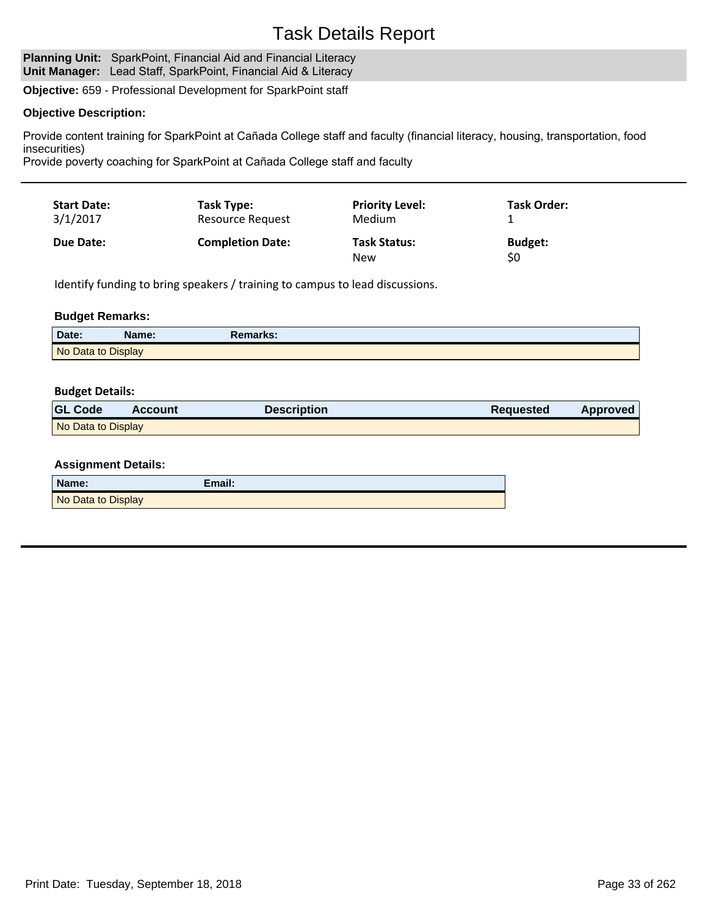#### Planning Unit: SparkPoint, Financial Aid and Financial Literacy **Unit Manager:** Lead Staff, SparkPoint, Financial Aid & Literacy

**Objective:** 659 - Professional Development for SparkPoint staff

## **Objective Description:**

Provide content training for SparkPoint at Cañada College staff and faculty (financial literacy, housing, transportation, food insecurities)

Provide poverty coaching for SparkPoint at Cañada College staff and faculty

| <b>Start Date:</b> | Task Type:              | <b>Priority Level:</b>            | <b>Task Order:</b>    |
|--------------------|-------------------------|-----------------------------------|-----------------------|
| 3/1/2017           | <b>Resource Request</b> | Medium                            |                       |
| <b>Due Date:</b>   | <b>Completion Date:</b> | <b>Task Status:</b><br><b>New</b> | <b>Budget:</b><br>\$0 |

Identify funding to bring speakers / training to campus to lead discussions.

## **Budget Remarks:**

| Date:              | Name: | Remarks: |
|--------------------|-------|----------|
| No Data to Display |       |          |

### **Budget Details:**

| <b>GL Code</b>     | <b>Account</b> | Description | Requested | <b>Approved</b> |
|--------------------|----------------|-------------|-----------|-----------------|
| No Data to Display |                |             |           |                 |

| Name:              | Email: |
|--------------------|--------|
| No Data to Display |        |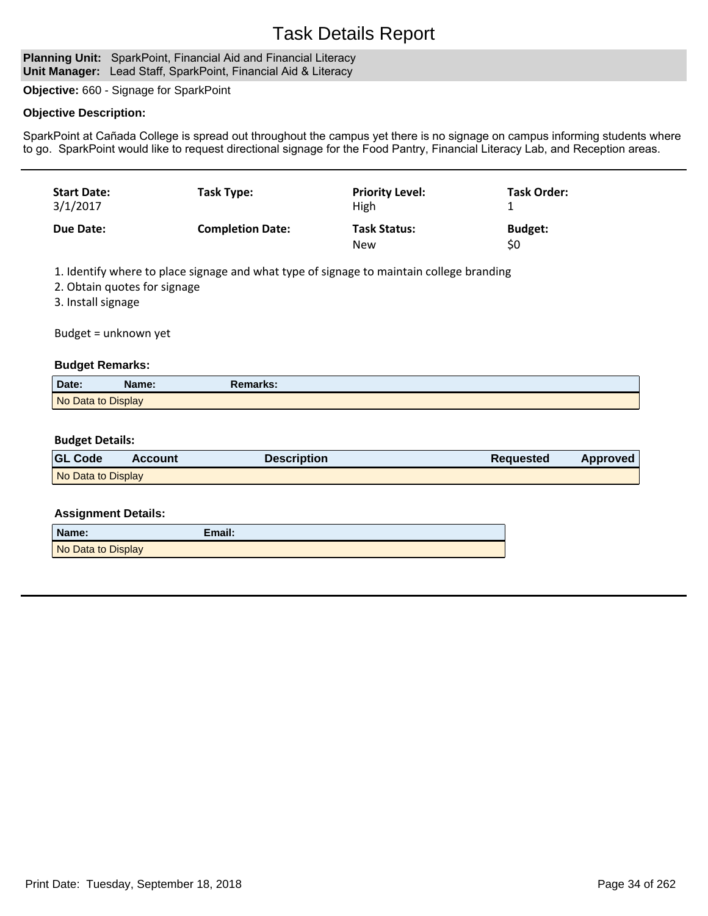### Planning Unit: SparkPoint, Financial Aid and Financial Literacy **Unit Manager:** Lead Staff, SparkPoint, Financial Aid & Literacy

**Objective:** 660 - Signage for SparkPoint

## **Objective Description:**

SparkPoint at Cañada College is spread out throughout the campus yet there is no signage on campus informing students where to go. SparkPoint would like to request directional signage for the Food Pantry, Financial Literacy Lab, and Reception areas.

| <b>Start Date:</b><br>3/1/2017 | Task Type:              | <b>Priority Level:</b><br>High    | <b>Task Order:</b>    |
|--------------------------------|-------------------------|-----------------------------------|-----------------------|
| Due Date:                      | <b>Completion Date:</b> | <b>Task Status:</b><br><b>New</b> | <b>Budget:</b><br>\$0 |

1. Identify where to place signage and what type of signage to maintain college branding

2. Obtain quotes for signage

3. Install signage

Budget = unknown yet

### **Budget Remarks:**

| Date:              | \ame: | Remarks: |  |
|--------------------|-------|----------|--|
| No Data to Display |       |          |  |

#### **Budget Details:**

| <b>GL Code</b>     | <b>Account</b> | <b>Description</b> | Reguested | Approved |
|--------------------|----------------|--------------------|-----------|----------|
| No Data to Display |                |                    |           |          |

| Name:              | Email: |
|--------------------|--------|
| No Data to Display |        |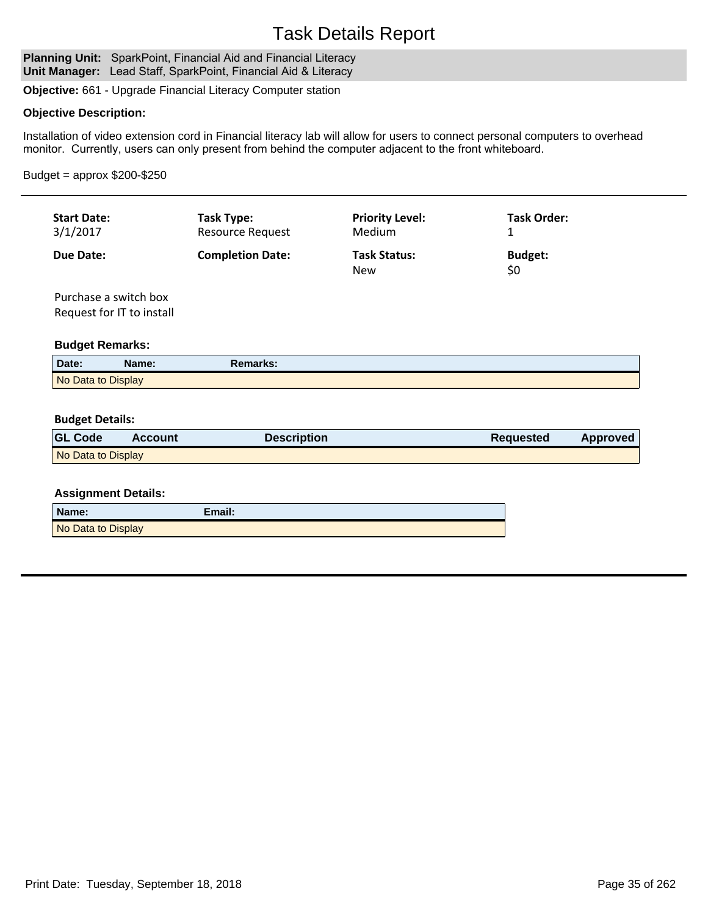Planning Unit: SparkPoint, Financial Aid and Financial Literacy **Unit Manager:** Lead Staff, SparkPoint, Financial Aid & Literacy

**Objective:** 661 - Upgrade Financial Literacy Computer station

## **Objective Description:**

Installation of video extension cord in Financial literacy lab will allow for users to connect personal computers to overhead monitor. Currently, users can only present from behind the computer adjacent to the front whiteboard.

### Budget = approx \$200-\$250

| <b>Start Date:</b> | Task Type:              | <b>Priority Level:</b>            | Task Order:           |
|--------------------|-------------------------|-----------------------------------|-----------------------|
| 3/1/2017           | Resource Request        | Medium                            |                       |
| Due Date:          | <b>Completion Date:</b> | <b>Task Status:</b><br><b>New</b> | <b>Budget:</b><br>\$0 |

Purchase a switch box Request for IT to install

### **Budget Remarks:**

| Date:              | Name: | Remarks: |  |
|--------------------|-------|----------|--|
| No Data to Display |       |          |  |

#### **Budget Details:**

| <b>GL Code</b>     | Account | <b>Description</b> | <b>Requested</b> | Approved |
|--------------------|---------|--------------------|------------------|----------|
| No Data to Display |         |                    |                  |          |

| Name:              | Email: |
|--------------------|--------|
| No Data to Display |        |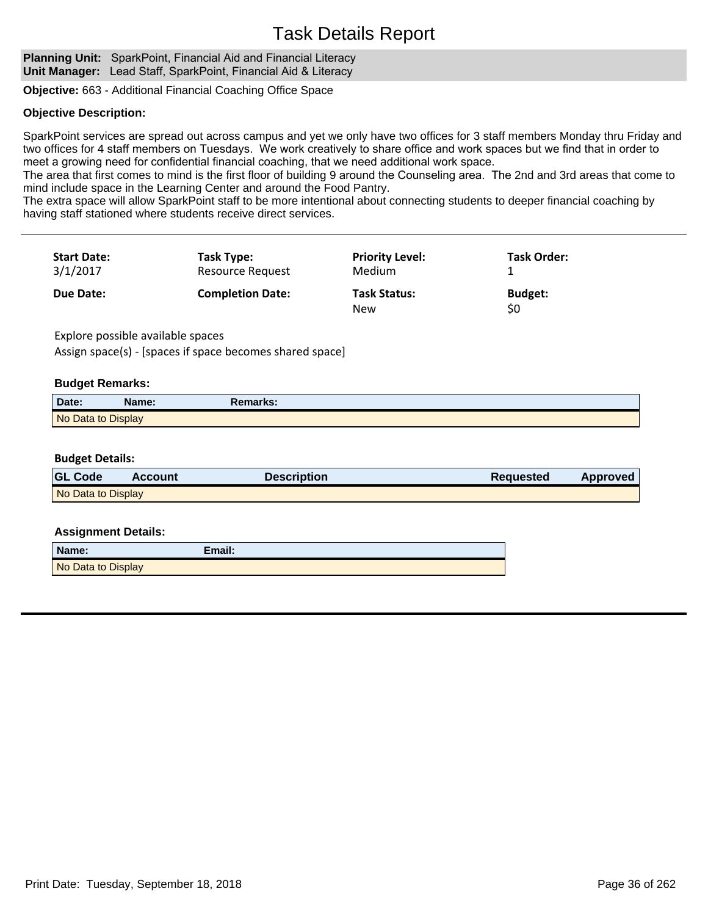**Planning Unit:** SparkPoint, Financial Aid and Financial Literacy **Unit Manager:** Lead Staff, SparkPoint, Financial Aid & Literacy

**Objective:** 663 - Additional Financial Coaching Office Space

## **Objective Description:**

SparkPoint services are spread out across campus and yet we only have two offices for 3 staff members Monday thru Friday and two offices for 4 staff members on Tuesdays. We work creatively to share office and work spaces but we find that in order to meet a growing need for confidential financial coaching, that we need additional work space.

The area that first comes to mind is the first floor of building 9 around the Counseling area. The 2nd and 3rd areas that come to mind include space in the Learning Center and around the Food Pantry.

The extra space will allow SparkPoint staff to be more intentional about connecting students to deeper financial coaching by having staff stationed where students receive direct services.

| <b>Start Date:</b><br>3/1/2017 | Task Type:<br><b>Resource Request</b> | <b>Priority Level:</b><br>Medium  | <b>Task Order:</b>    |  |
|--------------------------------|---------------------------------------|-----------------------------------|-----------------------|--|
| Due Date:                      | <b>Completion Date:</b>               | <b>Task Status:</b><br><b>New</b> | <b>Budget:</b><br>\$0 |  |

Explore possible available spaces Assign space(s) - [spaces if space becomes shared space]

### **Budget Remarks:**

| Date:              | Name: | Remarks: |  |
|--------------------|-------|----------|--|
| No Data to Display |       |          |  |

### **Budget Details:**

| <b>GL Code</b>     | <b>Account</b> | <b>Description</b> | <b>Requested</b> | Approved |
|--------------------|----------------|--------------------|------------------|----------|
| No Data to Display |                |                    |                  |          |

| Name:              | Email: |
|--------------------|--------|
| No Data to Display |        |